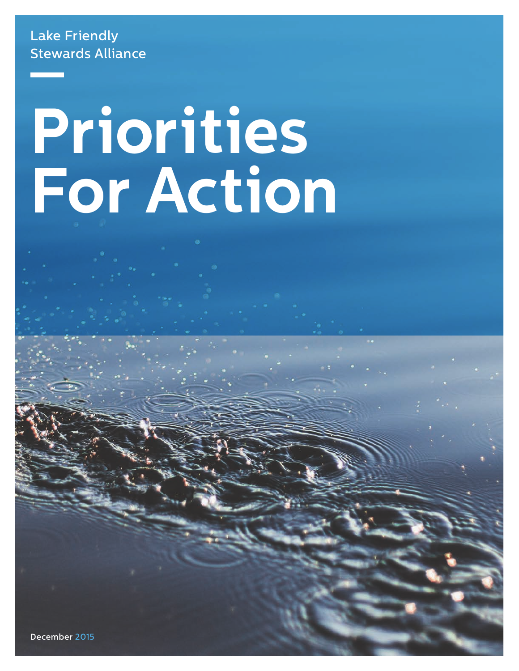# Lake Friendly Stewards Alliance

# **Priorities For Action**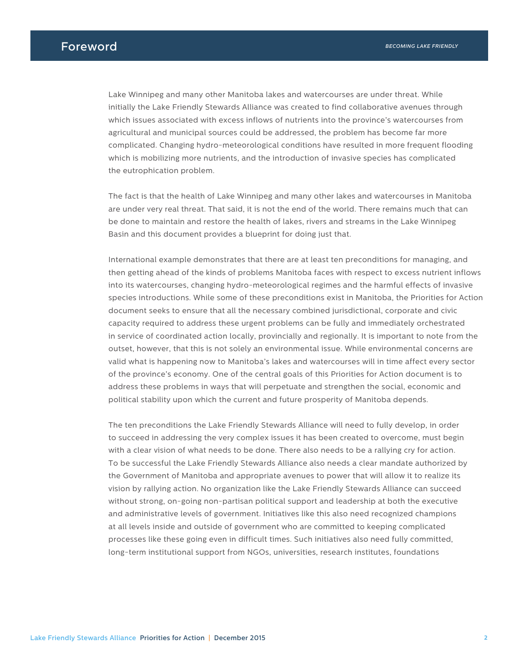Lake Winnipeg and many other Manitoba lakes and watercourses are under threat. While initially the Lake Friendly Stewards Alliance was created to find collaborative avenues through which issues associated with excess inflows of nutrients into the province's watercourses from agricultural and municipal sources could be addressed, the problem has become far more complicated. Changing hydro-meteorological conditions have resulted in more frequent flooding which is mobilizing more nutrients, and the introduction of invasive species has complicated the eutrophication problem.

The fact is that the health of Lake Winnipeg and many other lakes and watercourses in Manitoba are under very real threat. That said, it is not the end of the world. There remains much that can be done to maintain and restore the health of lakes, rivers and streams in the Lake Winnipeg Basin and this document provides a blueprint for doing just that.

International example demonstrates that there are at least ten preconditions for managing, and then getting ahead of the kinds of problems Manitoba faces with respect to excess nutrient inflows into its watercourses, changing hydro-meteorological regimes and the harmful effects of invasive species introductions. While some of these preconditions exist in Manitoba, the Priorities for Action document seeks to ensure that all the necessary combined jurisdictional, corporate and civic capacity required to address these urgent problems can be fully and immediately orchestrated in service of coordinated action locally, provincially and regionally. It is important to note from the outset, however, that this is not solely an environmental issue. While environmental concerns are valid what is happening now to Manitoba's lakes and watercourses will in time affect every sector of the province's economy. One of the central goals of this Priorities for Action document is to address these problems in ways that will perpetuate and strengthen the social, economic and political stability upon which the current and future prosperity of Manitoba depends.

The ten preconditions the Lake Friendly Stewards Alliance will need to fully develop, in order to succeed in addressing the very complex issues it has been created to overcome, must begin with a clear vision of what needs to be done. There also needs to be a rallying cry for action. To be successful the Lake Friendly Stewards Alliance also needs a clear mandate authorized by the Government of Manitoba and appropriate avenues to power that will allow it to realize its vision by rallying action. No organization like the Lake Friendly Stewards Alliance can succeed without strong, on-going non-partisan political support and leadership at both the executive and administrative levels of government. Initiatives like this also need recognized champions at all levels inside and outside of government who are committed to keeping complicated processes like these going even in difficult times. Such initiatives also need fully committed, long-term institutional support from NGOs, universities, research institutes, foundations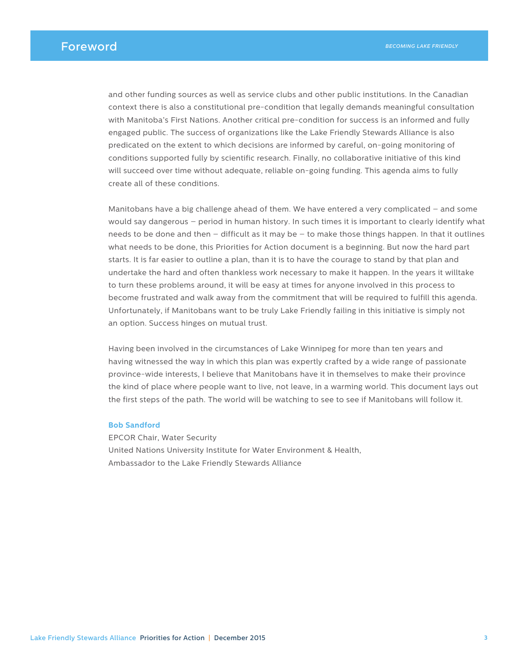and other funding sources as well as service clubs and other public institutions. In the Canadian context there is also a constitutional pre-condition that legally demands meaningful consultation with Manitoba's First Nations. Another critical pre-condition for success is an informed and fully engaged public. The success of organizations like the Lake Friendly Stewards Alliance is also predicated on the extent to which decisions are informed by careful, on-going monitoring of conditions supported fully by scientific research. Finally, no collaborative initiative of this kind will succeed over time without adequate, reliable on-going funding. This agenda aims to fully create all of these conditions.

Manitobans have a big challenge ahead of them. We have entered a very complicated – and some would say dangerous – period in human history. In such times it is important to clearly identify what needs to be done and then – difficult as it may be – to make those things happen. In that it outlines what needs to be done, this Priorities for Action document is a beginning. But now the hard part starts. It is far easier to outline a plan, than it is to have the courage to stand by that plan and undertake the hard and often thankless work necessary to make it happen. In the years it willtake to turn these problems around, it will be easy at times for anyone involved in this process to become frustrated and walk away from the commitment that will be required to fulfill this agenda. Unfortunately, if Manitobans want to be truly Lake Friendly failing in this initiative is simply not an option. Success hinges on mutual trust.

Having been involved in the circumstances of Lake Winnipeg for more than ten years and having witnessed the way in which this plan was expertly crafted by a wide range of passionate province-wide interests, I believe that Manitobans have it in themselves to make their province the kind of place where people want to live, not leave, in a warming world. This document lays out the first steps of the path. The world will be watching to see to see if Manitobans will follow it.

#### **Bob Sandford**

EPCOR Chair, Water Security United Nations University Institute for Water Environment & Health, Ambassador to the Lake Friendly Stewards Alliance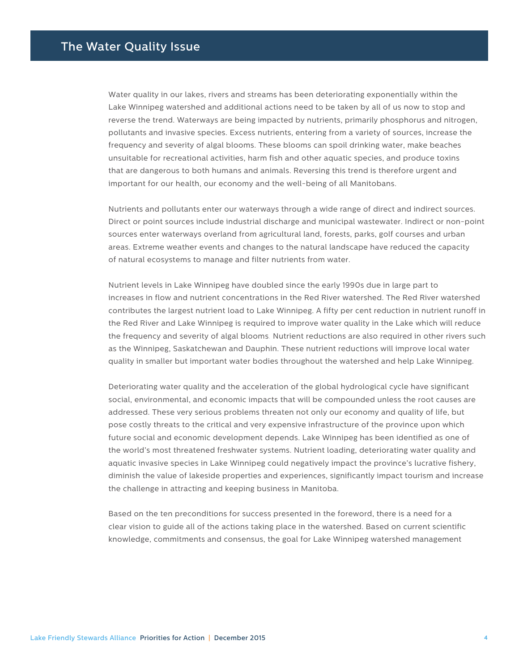Water quality in our lakes, rivers and streams has been deteriorating exponentially within the Lake Winnipeg watershed and additional actions need to be taken by all of us now to stop and reverse the trend. Waterways are being impacted by nutrients, primarily phosphorus and nitrogen, pollutants and invasive species. Excess nutrients, entering from a variety of sources, increase the frequency and severity of algal blooms. These blooms can spoil drinking water, make beaches unsuitable for recreational activities, harm fish and other aquatic species, and produce toxins that are dangerous to both humans and animals. Reversing this trend is therefore urgent and important for our health, our economy and the well-being of all Manitobans.

Nutrients and pollutants enter our waterways through a wide range of direct and indirect sources. Direct or point sources include industrial discharge and municipal wastewater. Indirect or non-point sources enter waterways overland from agricultural land, forests, parks, golf courses and urban areas. Extreme weather events and changes to the natural landscape have reduced the capacity of natural ecosystems to manage and filter nutrients from water.

Nutrient levels in Lake Winnipeg have doubled since the early 1990s due in large part to increases in flow and nutrient concentrations in the Red River watershed. The Red River watershed contributes the largest nutrient load to Lake Winnipeg. A fifty per cent reduction in nutrient runoff in the Red River and Lake Winnipeg is required to improve water quality in the Lake which will reduce the frequency and severity of algal blooms. Nutrient reductions are also required in other rivers such as the Winnipeg, Saskatchewan and Dauphin. These nutrient reductions will improve local water quality in smaller but important water bodies throughout the watershed and help Lake Winnipeg.

Deteriorating water quality and the acceleration of the global hydrological cycle have significant social, environmental, and economic impacts that will be compounded unless the root causes are addressed. These very serious problems threaten not only our economy and quality of life, but pose costly threats to the critical and very expensive infrastructure of the province upon which future social and economic development depends. Lake Winnipeg has been identified as one of the world's most threatened freshwater systems. Nutrient loading, deteriorating water quality and aquatic invasive species in Lake Winnipeg could negatively impact the province's lucrative fishery, diminish the value of lakeside properties and experiences, significantly impact tourism and increase the challenge in attracting and keeping business in Manitoba.

Based on the ten preconditions for success presented in the foreword, there is a need for a clear vision to guide all of the actions taking place in the watershed. Based on current scientific knowledge, commitments and consensus, the goal for Lake Winnipeg watershed management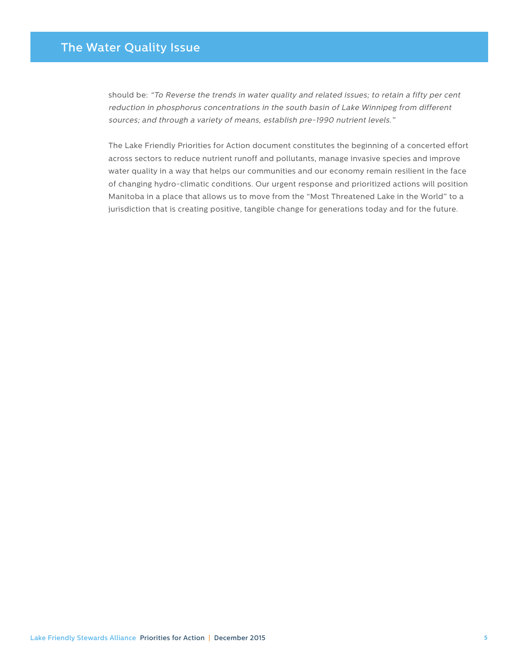# The Water Quality Issue

should be: "To Reverse the trends in water quality and related issues; to retain a fifty per cent reduction in phosphorus concentrations in the south basin of Lake Winnipeg from different sources; and through a variety of means, establish pre-1990 nutrient levels."

The Lake Friendly Priorities for Action document constitutes the beginning of a concerted effort across sectors to reduce nutrient runoff and pollutants, manage invasive species and improve water quality in a way that helps our communities and our economy remain resilient in the face of changing hydro-climatic conditions. Our urgent response and prioritized actions will position Manitoba in a place that allows us to move from the "Most Threatened Lake in the World" to a jurisdiction that is creating positive, tangible change for generations today and for the future.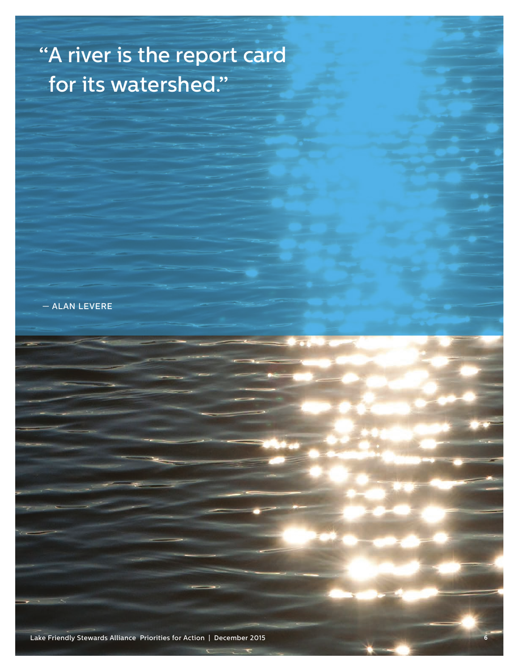# "A river is the report card for its watershed."

— ALAN LEVERE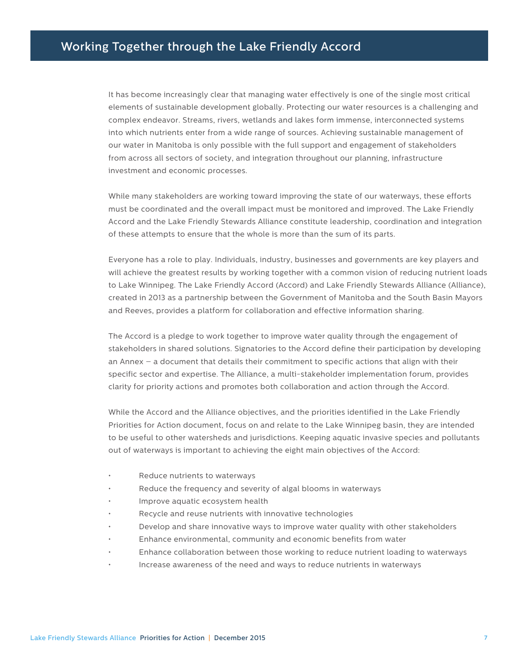# Working Together through the Lake Friendly Accord

It has become increasingly clear that managing water effectively is one of the single most critical elements of sustainable development globally. Protecting our water resources is a challenging and complex endeavor. Streams, rivers, wetlands and lakes form immense, interconnected systems into which nutrients enter from a wide range of sources. Achieving sustainable management of our water in Manitoba is only possible with the full support and engagement of stakeholders from across all sectors of society, and integration throughout our planning, infrastructure investment and economic processes.

While many stakeholders are working toward improving the state of our waterways, these efforts must be coordinated and the overall impact must be monitored and improved. The Lake Friendly Accord and the Lake Friendly Stewards Alliance constitute leadership, coordination and integration of these attempts to ensure that the whole is more than the sum of its parts.

Everyone has a role to play. Individuals, industry, businesses and governments are key players and will achieve the greatest results by working together with a common vision of reducing nutrient loads to Lake Winnipeg. The Lake Friendly Accord (Accord) and Lake Friendly Stewards Alliance (Alliance), created in 2013 as a partnership between the Government of Manitoba and the South Basin Mayors and Reeves, provides a platform for collaboration and effective information sharing.

The Accord is a pledge to work together to improve water quality through the engagement of stakeholders in shared solutions. Signatories to the Accord define their participation by developing an Annex – a document that details their commitment to specific actions that align with their specific sector and expertise. The Alliance, a multi-stakeholder implementation forum, provides clarity for priority actions and promotes both collaboration and action through the Accord.

While the Accord and the Alliance objectives, and the priorities identified in the Lake Friendly Priorities for Action document, focus on and relate to the Lake Winnipeg basin, they are intended to be useful to other watersheds and jurisdictions. Keeping aquatic invasive species and pollutants out of waterways is important to achieving the eight main objectives of the Accord:

- Reduce nutrients to waterways
- Reduce the frequency and severity of algal blooms in waterways
- Improve aquatic ecosystem health
- Recycle and reuse nutrients with innovative technologies
- Develop and share innovative ways to improve water quality with other stakeholders
- Enhance environmental, community and economic benefits from water
- Enhance collaboration between those working to reduce nutrient loading to waterways
- Increase awareness of the need and ways to reduce nutrients in waterways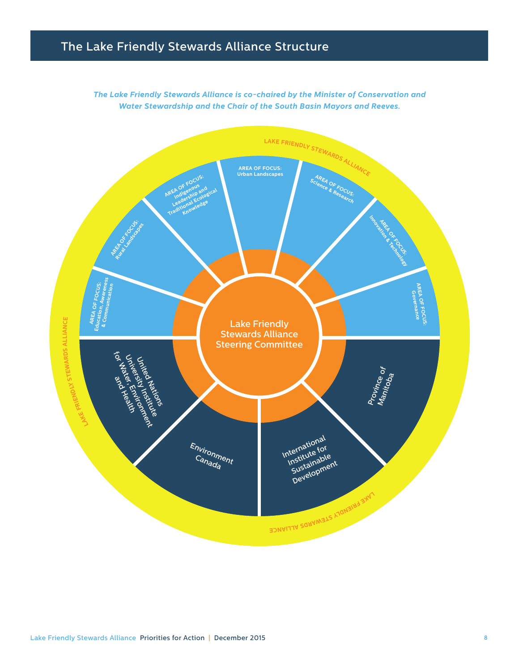# The Lake Friendly Stewards Alliance Structure

*The Lake Friendly Stewards Alliance is co-chaired by the Minister of Conservation and Water Stewardship and the Chair of the South Basin Mayors and Reeves.*

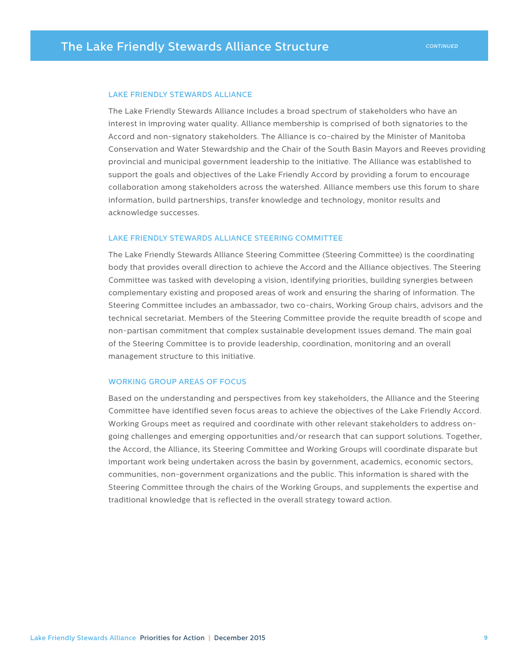#### LAKE FRIENDLY STEWARDS ALLIANCE

The Lake Friendly Stewards Alliance includes a broad spectrum of stakeholders who have an interest in improving water quality. Alliance membership is comprised of both signatories to the Accord and non-signatory stakeholders. The Alliance is co-chaired by the Minister of Manitoba Conservation and Water Stewardship and the Chair of the South Basin Mayors and Reeves providing provincial and municipal government leadership to the initiative. The Alliance was established to support the goals and objectives of the Lake Friendly Accord by providing a forum to encourage collaboration among stakeholders across the watershed. Alliance members use this forum to share information, build partnerships, transfer knowledge and technology, monitor results and acknowledge successes.

#### LAKE FRIENDLY STEWARDS ALLIANCE STEERING COMMITTEE

The Lake Friendly Stewards Alliance Steering Committee (Steering Committee) is the coordinating body that provides overall direction to achieve the Accord and the Alliance objectives. The Steering Committee was tasked with developing a vision, identifying priorities, building synergies between complementary existing and proposed areas of work and ensuring the sharing of information. The Steering Committee includes an ambassador, two co-chairs, Working Group chairs, advisors and the technical secretariat. Members of the Steering Committee provide the requite breadth of scope and non-partisan commitment that complex sustainable development issues demand. The main goal of the Steering Committee is to provide leadership, coordination, monitoring and an overall management structure to this initiative.

#### WORKING GROUP AREAS OF FOCUS

Based on the understanding and perspectives from key stakeholders, the Alliance and the Steering Committee have identified seven focus areas to achieve the objectives of the Lake Friendly Accord. Working Groups meet as required and coordinate with other relevant stakeholders to address ongoing challenges and emerging opportunities and/or research that can support solutions. Together, the Accord, the Alliance, its Steering Committee and Working Groups will coordinate disparate but important work being undertaken across the basin by government, academics, economic sectors, communities, non-government organizations and the public. This information is shared with the Steering Committee through the chairs of the Working Groups, and supplements the expertise and traditional knowledge that is reflected in the overall strategy toward action.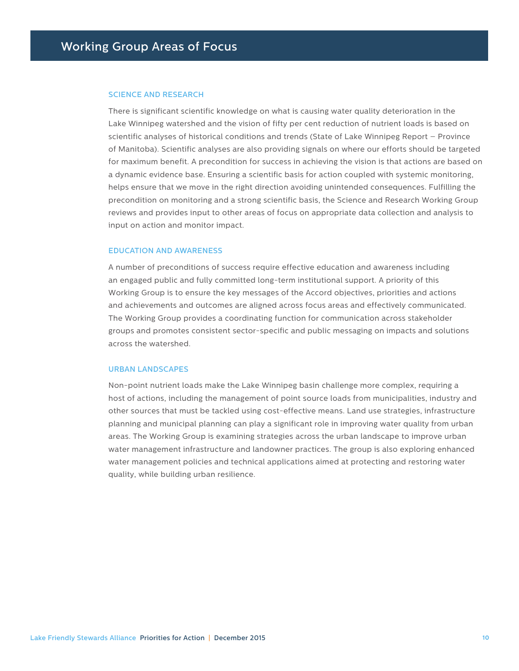#### SCIENCE AND RESEARCH

There is significant scientific knowledge on what is causing water quality deterioration in the Lake Winnipeg watershed and the vision of fifty per cent reduction of nutrient loads is based on scientific analyses of historical conditions and trends (State of Lake Winnipeg Report – Province of Manitoba). Scientific analyses are also providing signals on where our efforts should be targeted for maximum benefit. A precondition for success in achieving the vision is that actions are based on a dynamic evidence base. Ensuring a scientific basis for action coupled with systemic monitoring, helps ensure that we move in the right direction avoiding unintended consequences. Fulfilling the precondition on monitoring and a strong scientific basis, the Science and Research Working Group reviews and provides input to other areas of focus on appropriate data collection and analysis to input on action and monitor impact.

#### EDUCATION AND AWARENESS

A number of preconditions of success require effective education and awareness including an engaged public and fully committed long-term institutional support. A priority of this Working Group is to ensure the key messages of the Accord objectives, priorities and actions and achievements and outcomes are aligned across focus areas and effectively communicated. The Working Group provides a coordinating function for communication across stakeholder groups and promotes consistent sector-specific and public messaging on impacts and solutions across the watershed.

#### URBAN LANDSCAPES

Non-point nutrient loads make the Lake Winnipeg basin challenge more complex, requiring a host of actions, including the management of point source loads from municipalities, industry and other sources that must be tackled using cost-effective means. Land use strategies, infrastructure planning and municipal planning can play a significant role in improving water quality from urban areas. The Working Group is examining strategies across the urban landscape to improve urban water management infrastructure and landowner practices. The group is also exploring enhanced water management policies and technical applications aimed at protecting and restoring water quality, while building urban resilience.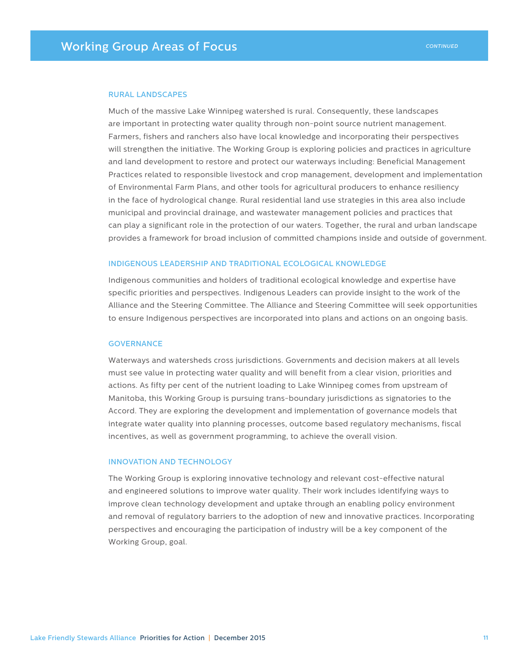#### RURAL LANDSCAPES

Much of the massive Lake Winnipeg watershed is rural. Consequently, these landscapes are important in protecting water quality through non-point source nutrient management. Farmers, fishers and ranchers also have local knowledge and incorporating their perspectives will strengthen the initiative. The Working Group is exploring policies and practices in agriculture and land development to restore and protect our waterways including: Beneficial Management Practices related to responsible livestock and crop management, development and implementation of Environmental Farm Plans, and other tools for agricultural producers to enhance resiliency in the face of hydrological change. Rural residential land use strategies in this area also include municipal and provincial drainage, and wastewater management policies and practices that can play a significant role in the protection of our waters. Together, the rural and urban landscape provides a framework for broad inclusion of committed champions inside and outside of government.

#### INDIGENOUS LEADERSHIP AND TRADITIONAL ECOLOGICAL KNOWLEDGE

Indigenous communities and holders of traditional ecological knowledge and expertise have specific priorities and perspectives. Indigenous Leaders can provide insight to the work of the Alliance and the Steering Committee. The Alliance and Steering Committee will seek opportunities to ensure Indigenous perspectives are incorporated into plans and actions on an ongoing basis.

#### **GOVERNANCE**

Waterways and watersheds cross jurisdictions. Governments and decision makers at all levels must see value in protecting water quality and will benefit from a clear vision, priorities and actions. As fifty per cent of the nutrient loading to Lake Winnipeg comes from upstream of Manitoba, this Working Group is pursuing trans-boundary jurisdictions as signatories to the Accord. They are exploring the development and implementation of governance models that integrate water quality into planning processes, outcome based regulatory mechanisms, fiscal incentives, as well as government programming, to achieve the overall vision.

#### INNOVATION AND TECHNOLOGY

The Working Group is exploring innovative technology and relevant cost-effective natural and engineered solutions to improve water quality. Their work includes identifying ways to improve clean technology development and uptake through an enabling policy environment and removal of regulatory barriers to the adoption of new and innovative practices. Incorporating perspectives and encouraging the participation of industry will be a key component of the Working Group, goal.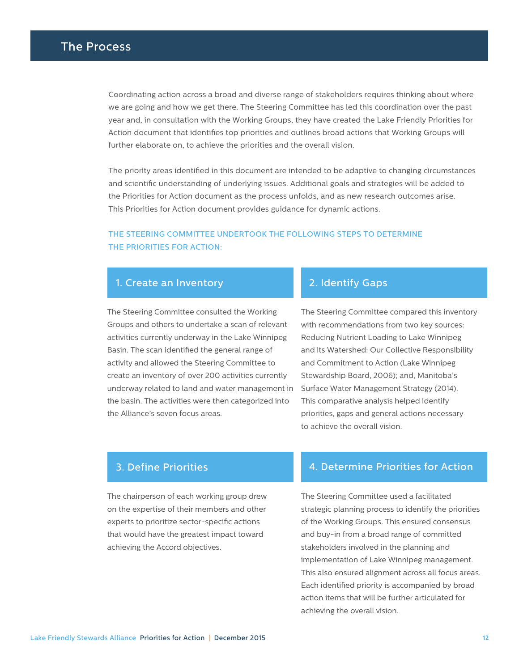Coordinating action across a broad and diverse range of stakeholders requires thinking about where we are going and how we get there. The Steering Committee has led this coordination over the past year and, in consultation with the Working Groups, they have created the Lake Friendly Priorities for Action document that identifies top priorities and outlines broad actions that Working Groups will further elaborate on, to achieve the priorities and the overall vision.

The priority areas identified in this document are intended to be adaptive to changing circumstances and scientific understanding of underlying issues. Additional goals and strategies will be added to the Priorities for Action document as the process unfolds, and as new research outcomes arise. This Priorities for Action document provides guidance for dynamic actions.

## THE STEERING COMMITTEE UNDERTOOK THE FOLLOWING STEPS TO DETERMINE THE PRIORITIES FOR ACTION:

#### 1. Create an Inventory

The Steering Committee consulted the Working Groups and others to undertake a scan of relevant activities currently underway in the Lake Winnipeg Basin. The scan identified the general range of activity and allowed the Steering Committee to create an inventory of over 200 activities currently underway related to land and water management in the basin. The activities were then categorized into the Alliance's seven focus areas.

# 2. Identify Gaps

The Steering Committee compared this inventory with recommendations from two key sources: Reducing Nutrient Loading to Lake Winnipeg and its Watershed: Our Collective Responsibility and Commitment to Action (Lake Winnipeg Stewardship Board, 2006); and, Manitoba's Surface Water Management Strategy (2014). This comparative analysis helped identify priorities, gaps and general actions necessary to achieve the overall vision.

The chairperson of each working group drew on the expertise of their members and other experts to prioritize sector-specific actions that would have the greatest impact toward achieving the Accord objectives.

#### 3. Define Priorities 4. Determine Priorities for Action

The Steering Committee used a facilitated strategic planning process to identify the priorities of the Working Groups. This ensured consensus and buy-in from a broad range of committed stakeholders involved in the planning and implementation of Lake Winnipeg management. This also ensured alignment across all focus areas. Each identified priority is accompanied by broad action items that will be further articulated for achieving the overall vision.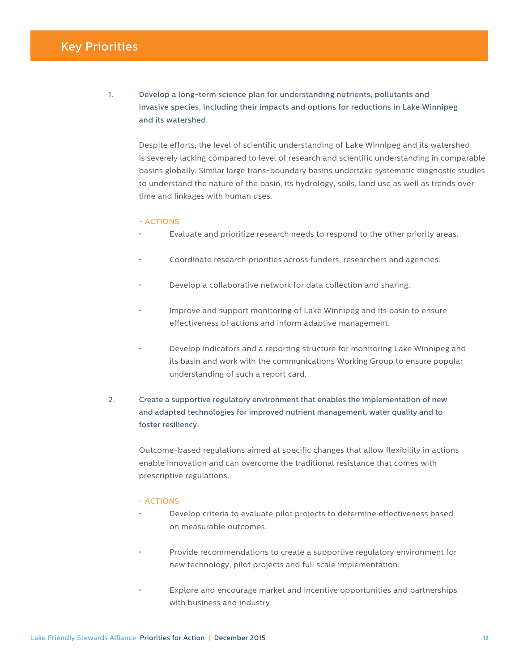# Key Priorities

1. Develop a long-term science plan for understanding nutrients, pollutants and invasive species, including their impacts and options for reductions in Lake Winnipeg and its watershed.

Despite efforts, the level of scientific understanding of Lake Winnipeg and its watershed is severely lacking compared to level of research and scientific understanding in comparable basins globally. Similar large trans-boundary basins undertake systematic diagnostic studies to understand the nature of the basin, its hydrology, soils, land use as well as trends over time and linkages with human uses.

#### - ACTIONS

- Evaluate and prioritize research needs to respond to the other priority areas.
- Coordinate research priorities across funders, researchers and agencies.
- Develop a collaborative network for data collection and sharing.
- Improve and support monitoring of Lake Winnipeg and its basin to ensure effectiveness of actions and inform adaptive management.
- Develop indicators and a reporting structure for monitoring Lake Winnipeg and its basin and work with the communications Working Group to ensure popular understanding of such a report card.

## 2. Create a supportive regulatory environment that enables the implementation of new and adapted technologies for improved nutrient management, water quality and to foster resiliency.

Outcome-based regulations aimed at specific changes that allow flexibility in actions enable innovation and can overcome the traditional resistance that comes with prescriptive regulations.

- Develop criteria to evaluate pilot projects to determine effectiveness based on measurable outcomes.
- Provide recommendations to create a supportive regulatory environment for new technology, pilot projects and full scale implementation.
- Explore and encourage market and incentive opportunities and partnerships with business and industry.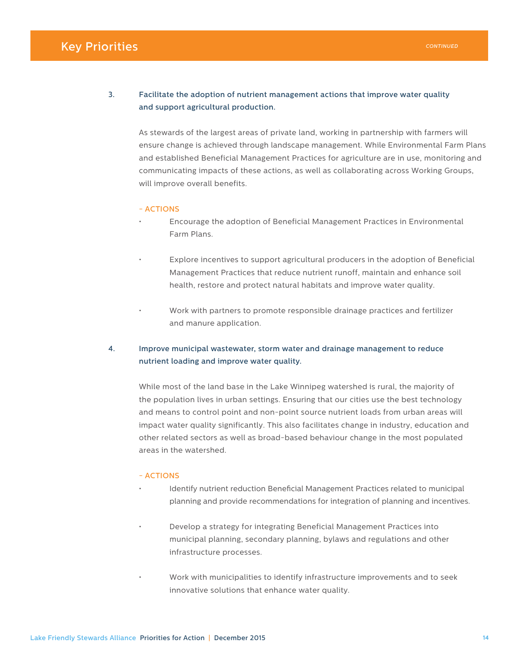# **Key Priorities CONTINUED**

#### 3. Facilitate the adoption of nutrient management actions that improve water quality and support agricultural production.

As stewards of the largest areas of private land, working in partnership with farmers will ensure change is achieved through landscape management. While Environmental Farm Plans and established Beneficial Management Practices for agriculture are in use, monitoring and communicating impacts of these actions, as well as collaborating across Working Groups, will improve overall benefits.

#### - ACTIONS

- Encourage the adoption of Beneficial Management Practices in Environmental Farm Plans.
- Explore incentives to support agricultural producers in the adoption of Beneficial Management Practices that reduce nutrient runoff, maintain and enhance soil health, restore and protect natural habitats and improve water quality.
- Work with partners to promote responsible drainage practices and fertilizer and manure application.

#### 4. Improve municipal wastewater, storm water and drainage management to reduce nutrient loading and improve water quality.

While most of the land base in the Lake Winnipeg watershed is rural, the majority of the population lives in urban settings. Ensuring that our cities use the best technology and means to control point and non-point source nutrient loads from urban areas will impact water quality significantly. This also facilitates change in industry, education and other related sectors as well as broad-based behaviour change in the most populated areas in the watershed.

- Identify nutrient reduction Beneficial Management Practices related to municipal planning and provide recommendations for integration of planning and incentives.
- Develop a strategy for integrating Beneficial Management Practices into municipal planning, secondary planning, bylaws and regulations and other infrastructure processes.
- Work with municipalities to identify infrastructure improvements and to seek innovative solutions that enhance water quality.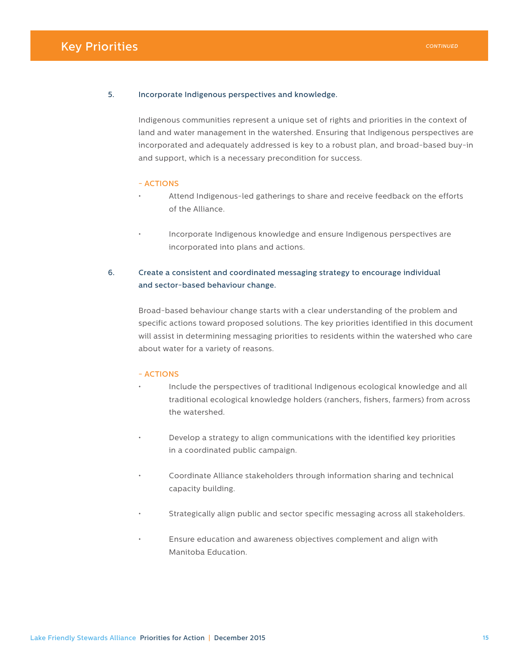# Key Priorities

#### 5. Incorporate Indigenous perspectives and knowledge.

Indigenous communities represent a unique set of rights and priorities in the context of land and water management in the watershed. Ensuring that Indigenous perspectives are incorporated and adequately addressed is key to a robust plan, and broad-based buy-in and support, which is a necessary precondition for success.

#### - ACTIONS

- Attend Indigenous-led gatherings to share and receive feedback on the efforts of the Alliance.
- Incorporate Indigenous knowledge and ensure Indigenous perspectives are incorporated into plans and actions.

#### 6. Create a consistent and coordinated messaging strategy to encourage individual and sector-based behaviour change.

Broad-based behaviour change starts with a clear understanding of the problem and specific actions toward proposed solutions. The key priorities identified in this document will assist in determining messaging priorities to residents within the watershed who care about water for a variety of reasons.

- Include the perspectives of traditional Indigenous ecological knowledge and all traditional ecological knowledge holders (ranchers, fishers, farmers) from across the watershed.
- Develop a strategy to align communications with the identified key priorities in a coordinated public campaign.
- Coordinate Alliance stakeholders through information sharing and technical capacity building.
- Strategically align public and sector specific messaging across all stakeholders.
- Ensure education and awareness objectives complement and align with Manitoba Education.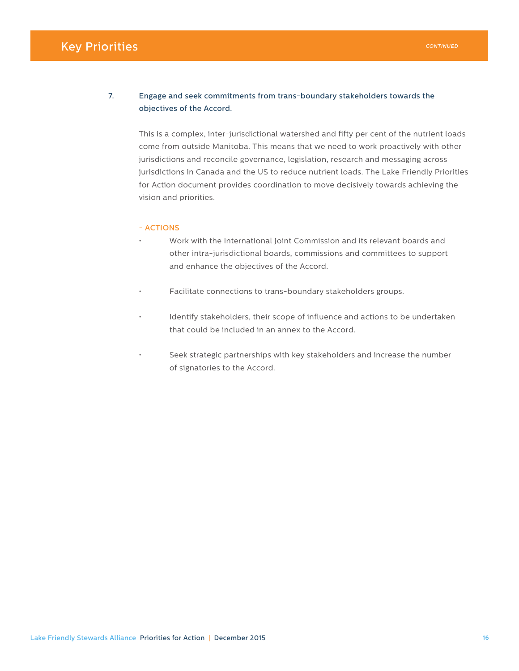# **Key Priorities CONTINUED**

#### 7. Engage and seek commitments from trans-boundary stakeholders towards the objectives of the Accord.

This is a complex, inter-jurisdictional watershed and fifty per cent of the nutrient loads come from outside Manitoba. This means that we need to work proactively with other jurisdictions and reconcile governance, legislation, research and messaging across jurisdictions in Canada and the US to reduce nutrient loads. The Lake Friendly Priorities for Action document provides coordination to move decisively towards achieving the vision and priorities.

- Work with the International Joint Commission and its relevant boards and other intra-jurisdictional boards, commissions and committees to support and enhance the objectives of the Accord.
- Facilitate connections to trans-boundary stakeholders groups.
- Identify stakeholders, their scope of influence and actions to be undertaken that could be included in an annex to the Accord.
- Seek strategic partnerships with key stakeholders and increase the number of signatories to the Accord.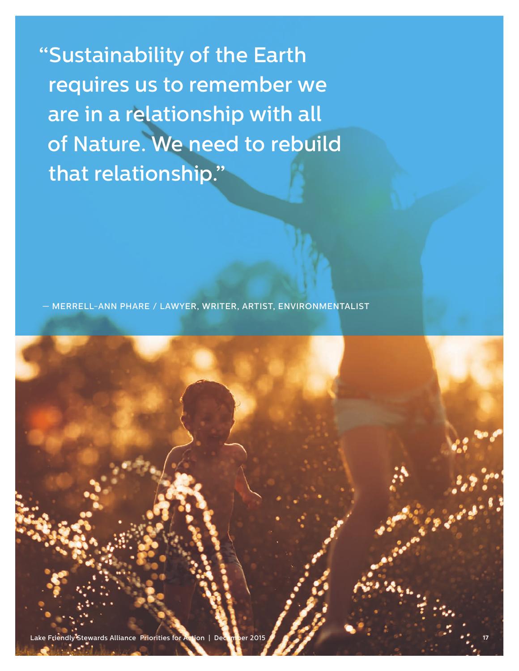"Sustainability of the Earth requires us to remember we are in a relationship with all of Nature. We need to rebuild that relationship."

— MERRELL-ANN PHARE / LAWYER, WRITER, ARTIST, ENVIRONMENTALIST

tewards Alliance Priorities for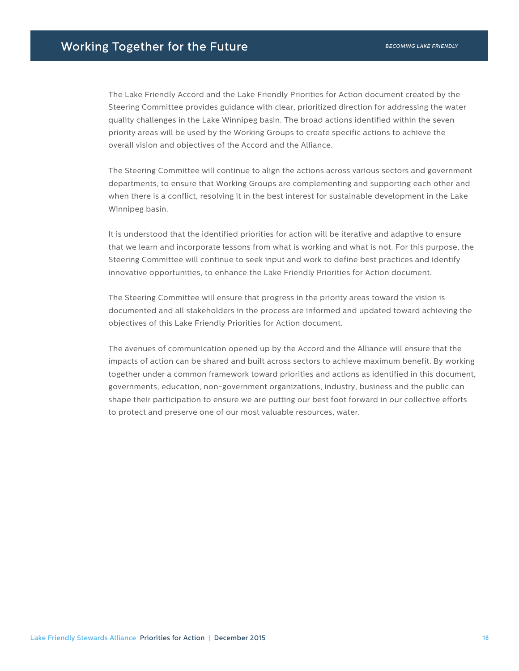The Lake Friendly Accord and the Lake Friendly Priorities for Action document created by the Steering Committee provides guidance with clear, prioritized direction for addressing the water quality challenges in the Lake Winnipeg basin. The broad actions identified within the seven priority areas will be used by the Working Groups to create specific actions to achieve the overall vision and objectives of the Accord and the Alliance.

The Steering Committee will continue to align the actions across various sectors and government departments, to ensure that Working Groups are complementing and supporting each other and when there is a conflict, resolving it in the best interest for sustainable development in the Lake Winnipeg basin.

It is understood that the identified priorities for action will be iterative and adaptive to ensure that we learn and incorporate lessons from what is working and what is not. For this purpose, the Steering Committee will continue to seek input and work to define best practices and identify innovative opportunities, to enhance the Lake Friendly Priorities for Action document.

The Steering Committee will ensure that progress in the priority areas toward the vision is documented and all stakeholders in the process are informed and updated toward achieving the objectives of this Lake Friendly Priorities for Action document.

The avenues of communication opened up by the Accord and the Alliance will ensure that the impacts of action can be shared and built across sectors to achieve maximum benefit. By working together under a common framework toward priorities and actions as identified in this document, governments, education, non-government organizations, industry, business and the public can shape their participation to ensure we are putting our best foot forward in our collective efforts to protect and preserve one of our most valuable resources, water.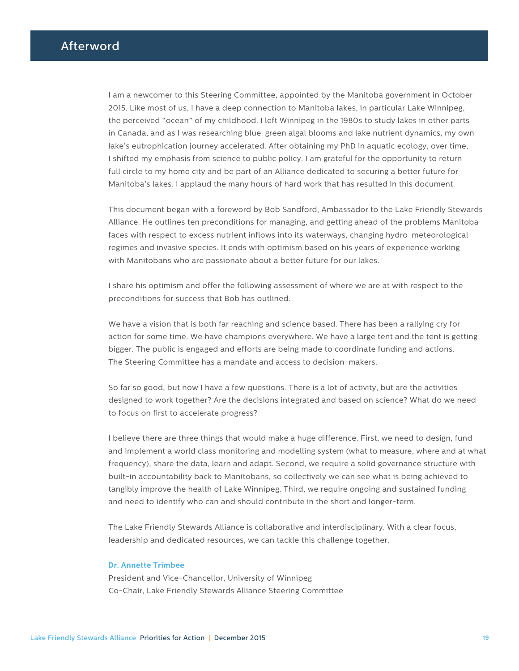I am a newcomer to this Steering Committee, appointed by the Manitoba government in October 2015. Like most of us, I have a deep connection to Manitoba lakes, in particular Lake Winnipeg, the perceived "ocean" of my childhood. I left Winnipeg in the 1980s to study lakes in other parts in Canada, and as I was researching blue-green algal blooms and lake nutrient dynamics, my own lake's eutrophication journey accelerated. After obtaining my PhD in aquatic ecology, over time, I shifted my emphasis from science to public policy. I am grateful for the opportunity to return full circle to my home city and be part of an Alliance dedicated to securing a better future for Manitoba's lakes. I applaud the many hours of hard work that has resulted in this document.

This document began with a foreword by Bob Sandford, Ambassador to the Lake Friendly Stewards Alliance. He outlines ten preconditions for managing, and getting ahead of the problems Manitoba faces with respect to excess nutrient inflows into its waterways, changing hydro-meteorological regimes and invasive species. It ends with optimism based on his years of experience working with Manitobans who are passionate about a better future for our lakes.

I share his optimism and offer the following assessment of where we are at with respect to the preconditions for success that Bob has outlined.

We have a vision that is both far reaching and science based. There has been a rallying cry for action for some time. We have champions everywhere. We have a large tent and the tent is getting bigger. The public is engaged and efforts are being made to coordinate funding and actions. The Steering Committee has a mandate and access to decision-makers.

So far so good, but now I have a few questions. There is a lot of activity, but are the activities designed to work together? Are the decisions integrated and based on science? What do we need to focus on first to accelerate progress?

I believe there are three things that would make a huge difference. First, we need to design, fund and implement a world class monitoring and modelling system (what to measure, where and at what frequency), share the data, learn and adapt. Second, we require a solid governance structure with built-in accountability back to Manitobans, so collectively we can see what is being achieved to tangibly improve the health of Lake Winnipeg. Third, we require ongoing and sustained funding and need to identify who can and should contribute in the short and longer-term.

The Lake Friendly Stewards Alliance is collaborative and interdisciplinary. With a clear focus, leadership and dedicated resources, we can tackle this challenge together.

#### **Dr. Annette Trimbee**

President and Vice-Chancellor, University of Winnipeg Co-Chair, Lake Friendly Stewards Alliance Steering Committee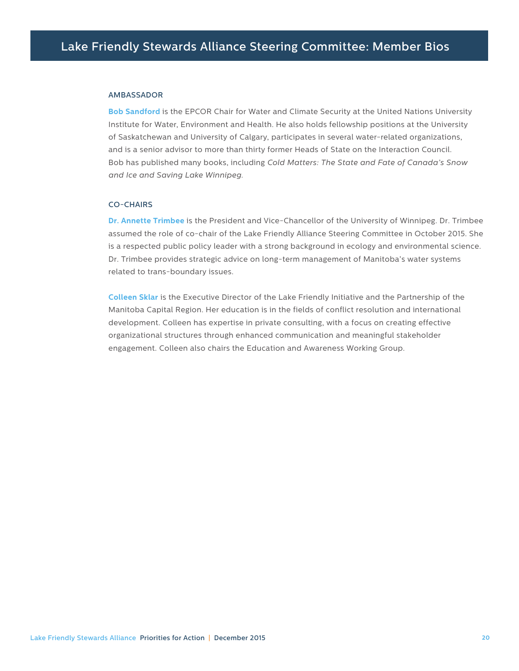#### AMBASSADOR

**Bob Sandford** is the EPCOR Chair for Water and Climate Security at the United Nations University Institute for Water, Environment and Health. He also holds fellowship positions at the University of Saskatchewan and University of Calgary, participates in several water-related organizations, and is a senior advisor to more than thirty former Heads of State on the Interaction Council. Bob has published many books, including *Cold Matters: The State and Fate of Canada's Snow and Ice and Saving Lake Winnipeg.*

#### CO-CHAIRS

**Dr. Annette Trimbee** is the President and Vice-Chancellor of the University of Winnipeg. Dr. Trimbee assumed the role of co-chair of the Lake Friendly Alliance Steering Committee in October 2015. She is a respected public policy leader with a strong background in ecology and environmental science. Dr. Trimbee provides strategic advice on long-term management of Manitoba's water systems related to trans-boundary issues.

**Colleen Sklar** is the Executive Director of the Lake Friendly Initiative and the Partnership of the Manitoba Capital Region. Her education is in the fields of conflict resolution and international development. Colleen has expertise in private consulting, with a focus on creating effective organizational structures through enhanced communication and meaningful stakeholder engagement. Colleen also chairs the Education and Awareness Working Group.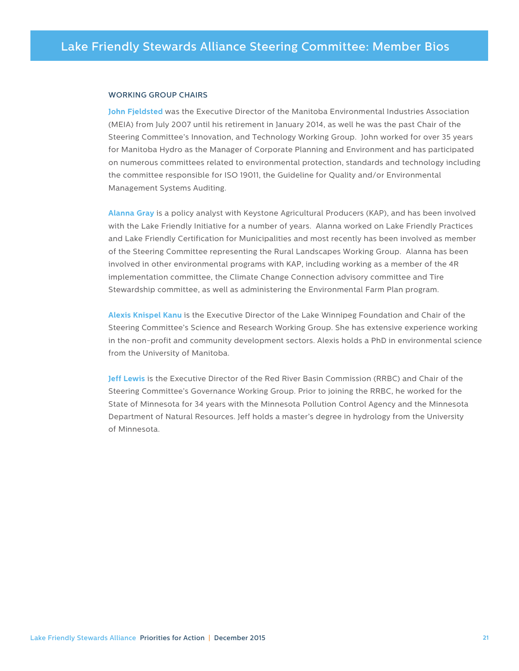#### WORKING GROUP CHAIRS

**John Fjeldsted** was the Executive Director of the Manitoba Environmental Industries Association (MEIA) from July 2007 until his retirement in January 2014, as well he was the past Chair of the Steering Committee's Innovation, and Technology Working Group. John worked for over 35 years for Manitoba Hydro as the Manager of Corporate Planning and Environment and has participated on numerous committees related to environmental protection, standards and technology including the committee responsible for ISO 19011, the Guideline for Quality and/or Environmental Management Systems Auditing.

**Alanna Gray** is a policy analyst with Keystone Agricultural Producers (KAP), and has been involved with the Lake Friendly Initiative for a number of years. Alanna worked on Lake Friendly Practices and Lake Friendly Certification for Municipalities and most recently has been involved as member of the Steering Committee representing the Rural Landscapes Working Group. Alanna has been involved in other environmental programs with KAP, including working as a member of the 4R implementation committee, the Climate Change Connection advisory committee and Tire Stewardship committee, as well as administering the Environmental Farm Plan program.

**Alexis Knispel Kanu** is the Executive Director of the Lake Winnipeg Foundation and Chair of the Steering Committee's Science and Research Working Group. She has extensive experience working in the non-profit and community development sectors. Alexis holds a PhD in environmental science from the University of Manitoba.

**Jeff Lewis** is the Executive Director of the Red River Basin Commission (RRBC) and Chair of the Steering Committee's Governance Working Group. Prior to joining the RRBC, he worked for the State of Minnesota for 34 years with the Minnesota Pollution Control Agency and the Minnesota Department of Natural Resources. Jeff holds a master's degree in hydrology from the University of Minnesota.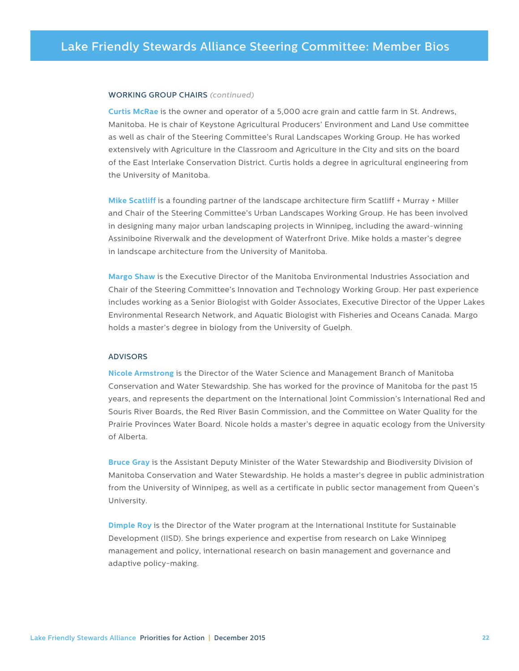#### WORKING GROUP CHAIRS *(continued)*

**Curtis McRae** is the owner and operator of a 5,000 acre grain and cattle farm in St. Andrews, Manitoba. He is chair of Keystone Agricultural Producers' Environment and Land Use committee as well as chair of the Steering Committee's Rural Landscapes Working Group. He has worked extensively with Agriculture in the Classroom and Agriculture in the City and sits on the board of the East Interlake Conservation District. Curtis holds a degree in agricultural engineering from the University of Manitoba.

**Mike Scatliff** is a founding partner of the landscape architecture firm Scatliff + Murray + Miller and Chair of the Steering Committee's Urban Landscapes Working Group. He has been involved in designing many major urban landscaping projects in Winnipeg, including the award-winning Assiniboine Riverwalk and the development of Waterfront Drive. Mike holds a master's degree in landscape architecture from the University of Manitoba.

**Margo Shaw** is the Executive Director of the Manitoba Environmental Industries Association and Chair of the Steering Committee's Innovation and Technology Working Group. Her past experience includes working as a Senior Biologist with Golder Associates, Executive Director of the Upper Lakes Environmental Research Network, and Aquatic Biologist with Fisheries and Oceans Canada. Margo holds a master's degree in biology from the University of Guelph.

#### ADVISORS

**Nicole Armstrong** is the Director of the Water Science and Management Branch of Manitoba Conservation and Water Stewardship. She has worked for the province of Manitoba for the past 15 years, and represents the department on the International Joint Commission's International Red and Souris River Boards, the Red River Basin Commission, and the Committee on Water Quality for the Prairie Provinces Water Board. Nicole holds a master's degree in aquatic ecology from the University of Alberta.

**Bruce Gray** is the Assistant Deputy Minister of the Water Stewardship and Biodiversity Division of Manitoba Conservation and Water Stewardship. He holds a master's degree in public administration from the University of Winnipeg, as well as a certificate in public sector management from Queen's University.

**Dimple Roy** is the Director of the Water program at the International Institute for Sustainable Development (IISD). She brings experience and expertise from research on Lake Winnipeg management and policy, international research on basin management and governance and adaptive policy-making.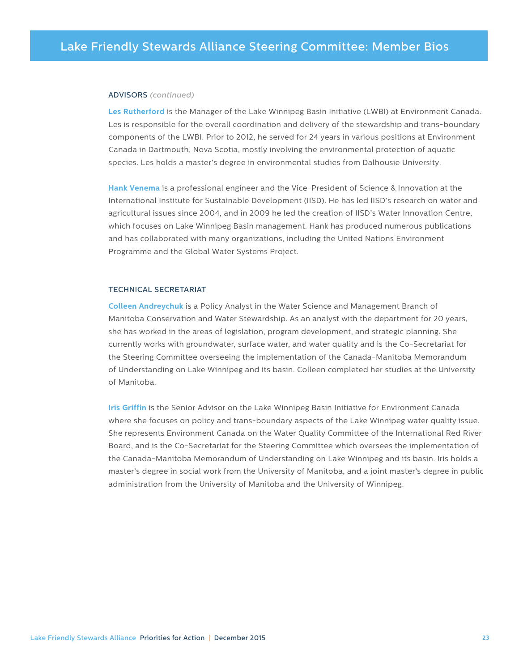#### ADVISORS *(continued)*

**Les Rutherford** is the Manager of the Lake Winnipeg Basin Initiative (LWBI) at Environment Canada. Les is responsible for the overall coordination and delivery of the stewardship and trans-boundary components of the LWBI. Prior to 2012, he served for 24 years in various positions at Environment Canada in Dartmouth, Nova Scotia, mostly involving the environmental protection of aquatic species. Les holds a master's degree in environmental studies from Dalhousie University.

**Hank Venema** is a professional engineer and the Vice-President of Science & Innovation at the International Institute for Sustainable Development (IISD). He has led IISD's research on water and agricultural issues since 2004, and in 2009 he led the creation of IISD's Water Innovation Centre, which focuses on Lake Winnipeg Basin management. Hank has produced numerous publications and has collaborated with many organizations, including the United Nations Environment Programme and the Global Water Systems Project.

#### TECHNICAL SECRETARIAT

**Colleen Andreychuk** is a Policy Analyst in the Water Science and Management Branch of Manitoba Conservation and Water Stewardship. As an analyst with the department for 20 years, she has worked in the areas of legislation, program development, and strategic planning. She currently works with groundwater, surface water, and water quality and is the Co-Secretariat for the Steering Committee overseeing the implementation of the Canada-Manitoba Memorandum of Understanding on Lake Winnipeg and its basin. Colleen completed her studies at the University of Manitoba.

**Iris Griffin** is the Senior Advisor on the Lake Winnipeg Basin Initiative for Environment Canada where she focuses on policy and trans-boundary aspects of the Lake Winnipeg water quality issue. She represents Environment Canada on the Water Quality Committee of the International Red River Board, and is the Co-Secretariat for the Steering Committee which oversees the implementation of the Canada-Manitoba Memorandum of Understanding on Lake Winnipeg and its basin. Iris holds a master's degree in social work from the University of Manitoba, and a joint master's degree in public administration from the University of Manitoba and the University of Winnipeg.